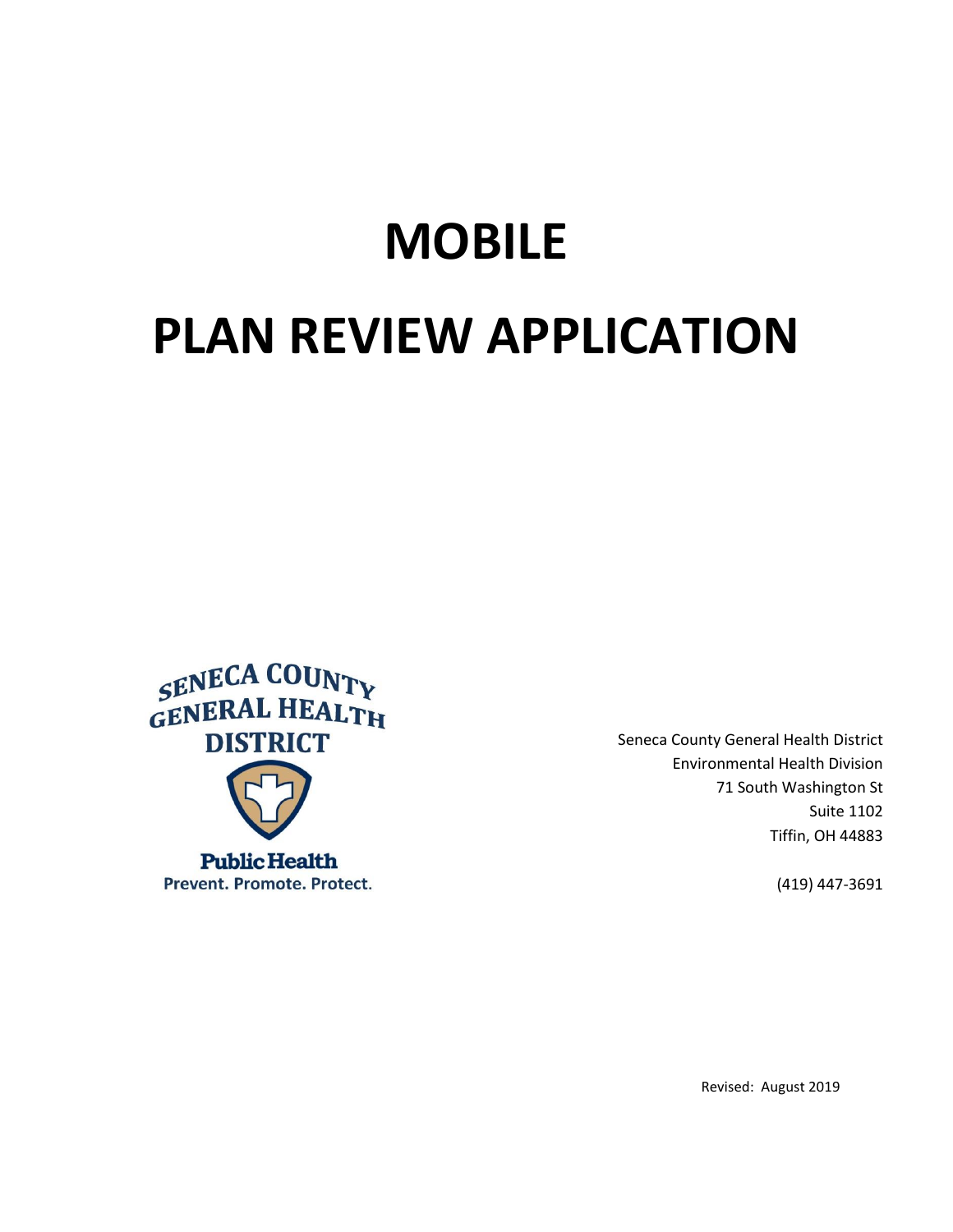# **MOBILE**

# **PLAN REVIEW APPLICATION**



Seneca County General Health District Environmental Health Division 71 South Washington St Suite 1102 Tiffin, OH 44883

(419) 447-3691

Revised: August 2019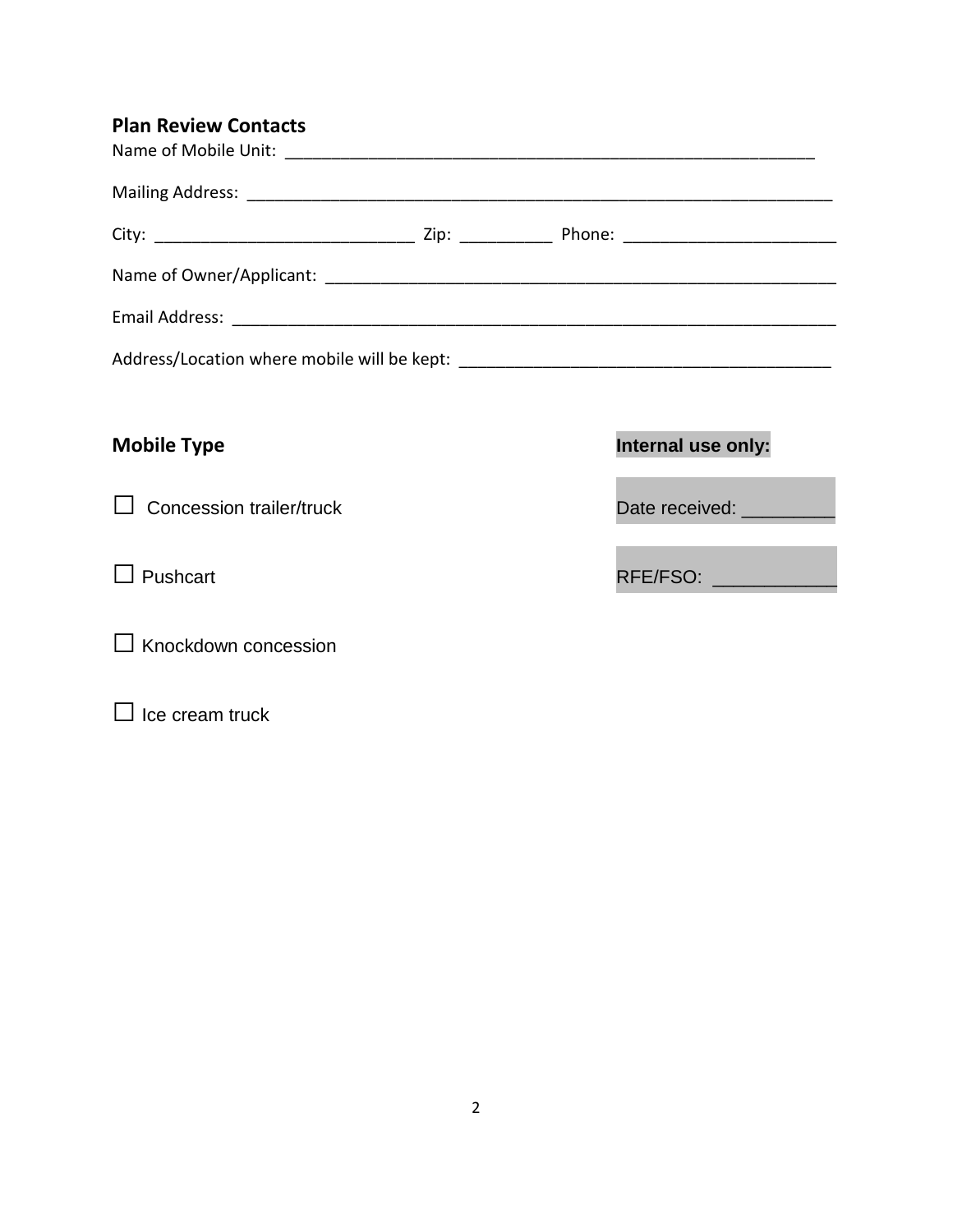| <b>Plan Review Contacts</b> |                           |
|-----------------------------|---------------------------|
|                             |                           |
|                             |                           |
|                             |                           |
|                             |                           |
|                             |                           |
|                             |                           |
| <b>Mobile Type</b>          | Internal use only:        |
| Concession trailer/truck    | Date received: __________ |

 $\square$  Knockdown concession

 $\square$  Ice cream truck

 $\Box$  Pushcart  $\Box$  Pushcart  $\Box$  RFE/FSO:  $\Box$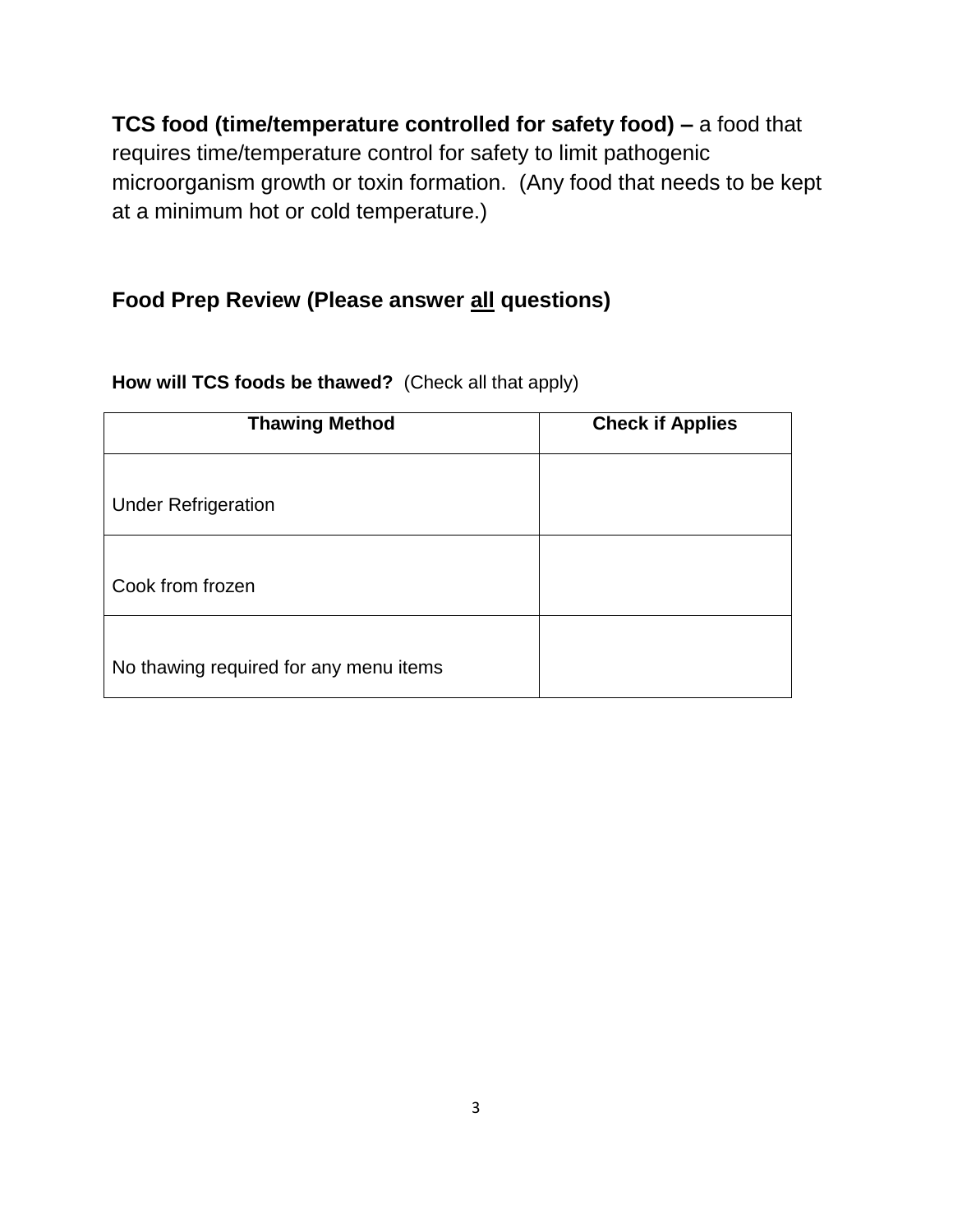**TCS food (time/temperature controlled for safety food) –** a food that requires time/temperature control for safety to limit pathogenic microorganism growth or toxin formation. (Any food that needs to be kept at a minimum hot or cold temperature.)

## **Food Prep Review (Please answer all questions)**

| <b>Thawing Method</b>                  | <b>Check if Applies</b> |
|----------------------------------------|-------------------------|
| <b>Under Refrigeration</b>             |                         |
| Cook from frozen                       |                         |
| No thawing required for any menu items |                         |

**How will TCS foods be thawed?** (Check all that apply)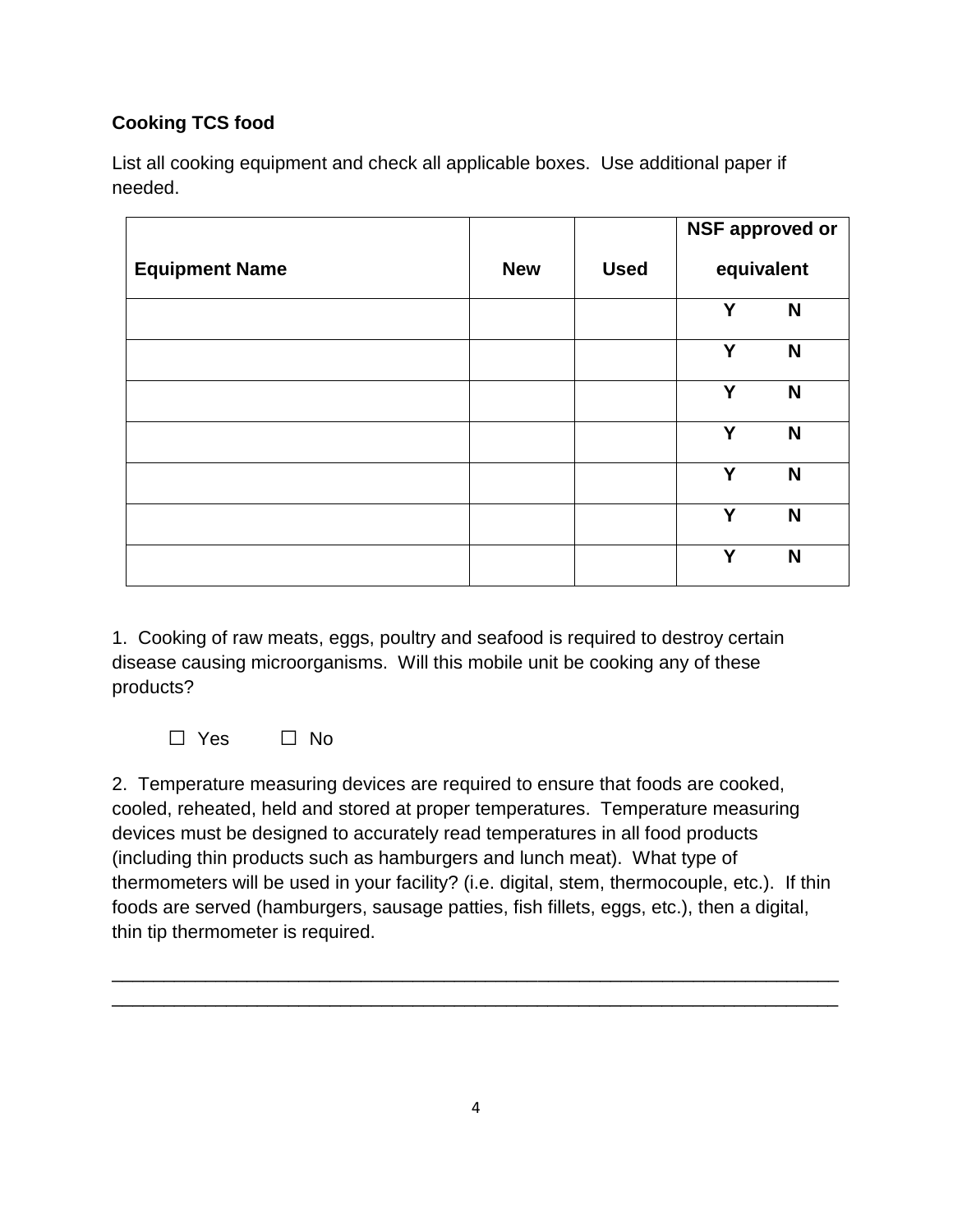## **Cooking TCS food**

List all cooking equipment and check all applicable boxes. Use additional paper if needed.

|                       |            |             | <b>NSF approved or</b> |            |
|-----------------------|------------|-------------|------------------------|------------|
| <b>Equipment Name</b> | <b>New</b> | <b>Used</b> |                        | equivalent |
|                       |            |             | Y                      | N          |
|                       |            |             | Y                      | N          |
|                       |            |             | Y                      | N          |
|                       |            |             | Y                      | N          |
|                       |            |             | Y                      | N          |
|                       |            |             | Y                      | N          |
|                       |            |             | Y                      | N          |

1. Cooking of raw meats, eggs, poultry and seafood is required to destroy certain disease causing microorganisms. Will this mobile unit be cooking any of these products?

□ Yes □ No

2. Temperature measuring devices are required to ensure that foods are cooked, cooled, reheated, held and stored at proper temperatures. Temperature measuring devices must be designed to accurately read temperatures in all food products (including thin products such as hamburgers and lunch meat). What type of thermometers will be used in your facility? (i.e. digital, stem, thermocouple, etc.). If thin foods are served (hamburgers, sausage patties, fish fillets, eggs, etc.), then a digital, thin tip thermometer is required.

\_\_\_\_\_\_\_\_\_\_\_\_\_\_\_\_\_\_\_\_\_\_\_\_\_\_\_\_\_\_\_\_\_\_\_\_\_\_\_\_\_\_\_\_\_\_\_\_\_\_\_\_\_\_\_\_\_\_\_\_\_\_\_\_\_\_\_\_\_\_ \_\_\_\_\_\_\_\_\_\_\_\_\_\_\_\_\_\_\_\_\_\_\_\_\_\_\_\_\_\_\_\_\_\_\_\_\_\_\_\_\_\_\_\_\_\_\_\_\_\_\_\_\_\_\_\_\_\_\_\_\_\_\_\_\_\_\_\_\_\_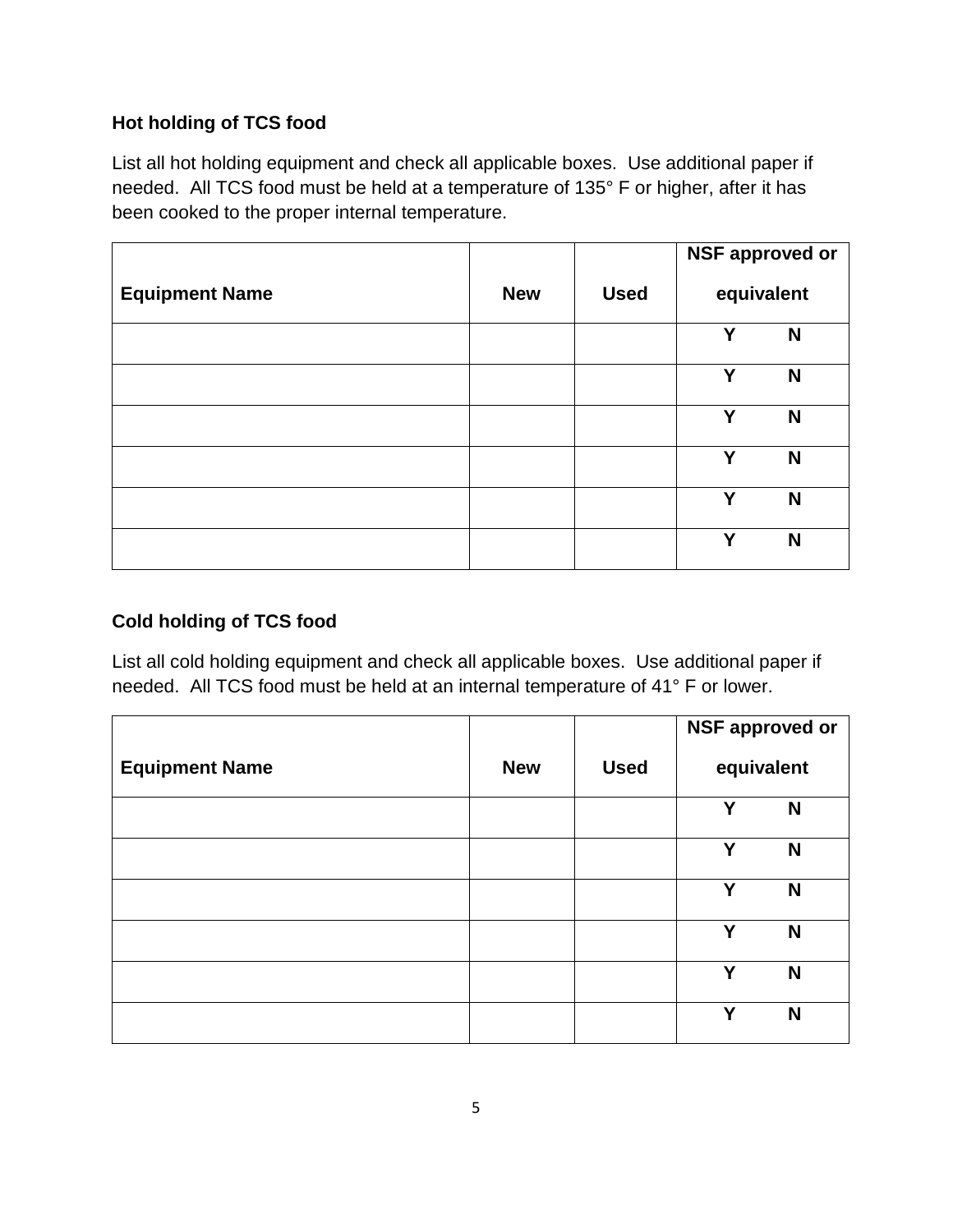### **Hot holding of TCS food**

List all hot holding equipment and check all applicable boxes. Use additional paper if needed. All TCS food must be held at a temperature of 135° F or higher, after it has been cooked to the proper internal temperature.

|                       |            |             | <b>NSF approved or</b> |   |
|-----------------------|------------|-------------|------------------------|---|
| <b>Equipment Name</b> | <b>New</b> | <b>Used</b> | equivalent             |   |
|                       |            |             | Y                      | N |
|                       |            |             | Y                      | N |
|                       |            |             | Y                      | N |
|                       |            |             | Y                      | N |
|                       |            |             | Υ                      | N |
|                       |            |             | v                      | N |

### **Cold holding of TCS food**

List all cold holding equipment and check all applicable boxes. Use additional paper if needed. All TCS food must be held at an internal temperature of 41° F or lower.

|                       |            |             | <b>NSF approved or</b> |
|-----------------------|------------|-------------|------------------------|
| <b>Equipment Name</b> | <b>New</b> | <b>Used</b> | equivalent             |
|                       |            |             | Y<br>N                 |
|                       |            |             | Y<br>N                 |
|                       |            |             | Υ<br>N                 |
|                       |            |             | Y<br>N                 |
|                       |            |             | Y<br>N                 |
|                       |            |             | Υ<br>N                 |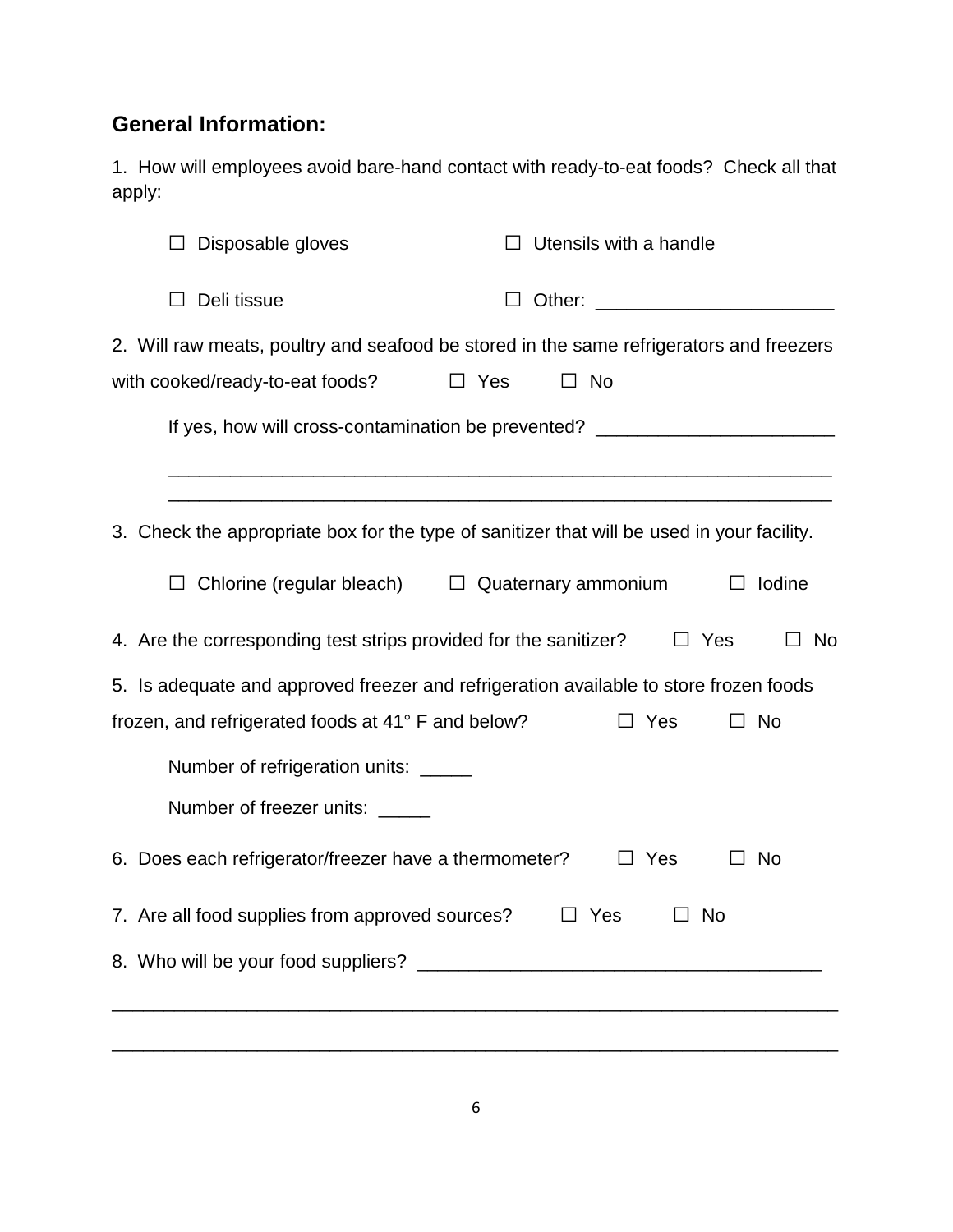## **General Information:**

1. How will employees avoid bare-hand contact with ready-to-eat foods? Check all that apply:

| Disposable gloves                                                | Utensils with a handle                                                                                             |
|------------------------------------------------------------------|--------------------------------------------------------------------------------------------------------------------|
| Deli tissue                                                      |                                                                                                                    |
| with cooked/ready-to-eat foods?                                  | 2. Will raw meats, poultry and seafood be stored in the same refrigerators and freezers<br>$\Box$ Yes<br>$\Box$ No |
|                                                                  | If yes, how will cross-contamination be prevented? _____________________________                                   |
|                                                                  | 3. Check the appropriate box for the type of sanitizer that will be used in your facility.                         |
|                                                                  | Chlorine (regular bleach) $\square$ Quaternary ammonium<br>$\Box$ Iodine                                           |
| 4. Are the corresponding test strips provided for the sanitizer? | $\Box$ Yes<br>$\Box$ No                                                                                            |
|                                                                  | 5. Is adequate and approved freezer and refrigeration available to store frozen foods                              |
| frozen, and refrigerated foods at 41° F and below?               | $\Box$ Yes<br>$\Box$ No                                                                                            |
| Number of refrigeration units: _____                             |                                                                                                                    |
| Number of freezer units: _____                                   |                                                                                                                    |
| 6. Does each refrigerator/freezer have a thermometer?            | $\Box$ Yes<br>No                                                                                                   |
| 7. Are all food supplies from approved sources?                  | Yes<br>No.                                                                                                         |
|                                                                  |                                                                                                                    |
|                                                                  |                                                                                                                    |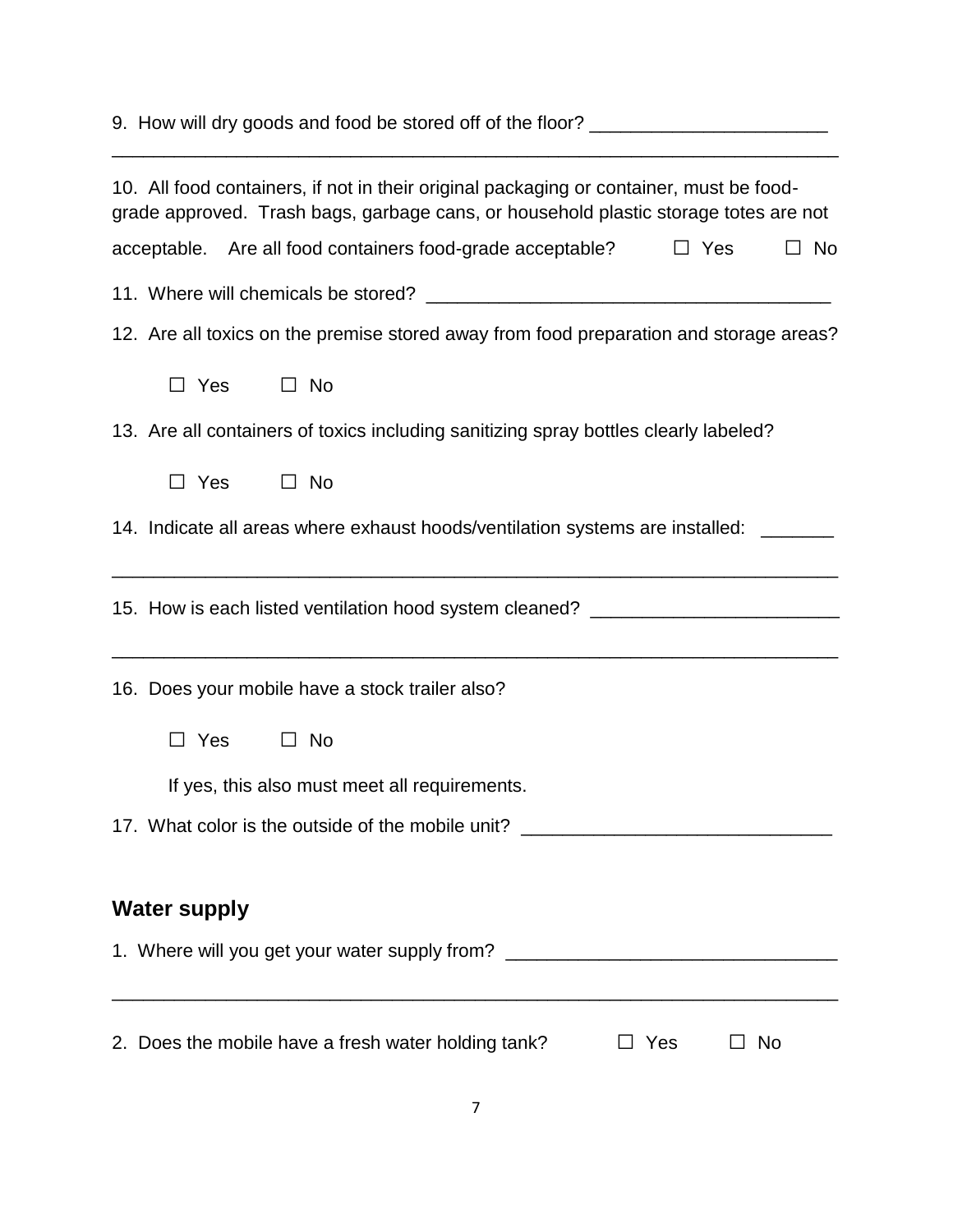| 9. How will dry goods and food be stored off of the floor? _____________________                                                                                                |
|---------------------------------------------------------------------------------------------------------------------------------------------------------------------------------|
| 10. All food containers, if not in their original packaging or container, must be food-<br>grade approved. Trash bags, garbage cans, or household plastic storage totes are not |
| acceptable. Are all food containers food-grade acceptable? $\Box$ Yes<br>$\Box$ No                                                                                              |
|                                                                                                                                                                                 |
| 12. Are all toxics on the premise stored away from food preparation and storage areas?                                                                                          |
| $\Box$ Yes<br>$\Box$ No                                                                                                                                                         |
| 13. Are all containers of toxics including sanitizing spray bottles clearly labeled?                                                                                            |
| $\Box$ Yes<br>$\Box$ No                                                                                                                                                         |
| 14. Indicate all areas where exhaust hoods/ventilation systems are installed: _____                                                                                             |
| 15. How is each listed ventilation hood system cleaned? ________________________                                                                                                |
| 16. Does your mobile have a stock trailer also?                                                                                                                                 |
| $\Box$ Yes<br>$\Box$ No                                                                                                                                                         |
| If yes, this also must meet all requirements.                                                                                                                                   |
| 17. What color is the outside of the mobile unit? ______________________________                                                                                                |
| <b>Water supply</b>                                                                                                                                                             |
| 1. Where will you get your water supply from? __________________________________                                                                                                |
|                                                                                                                                                                                 |
| 2. Does the mobile have a fresh water holding tank?<br>Yes<br>_ No                                                                                                              |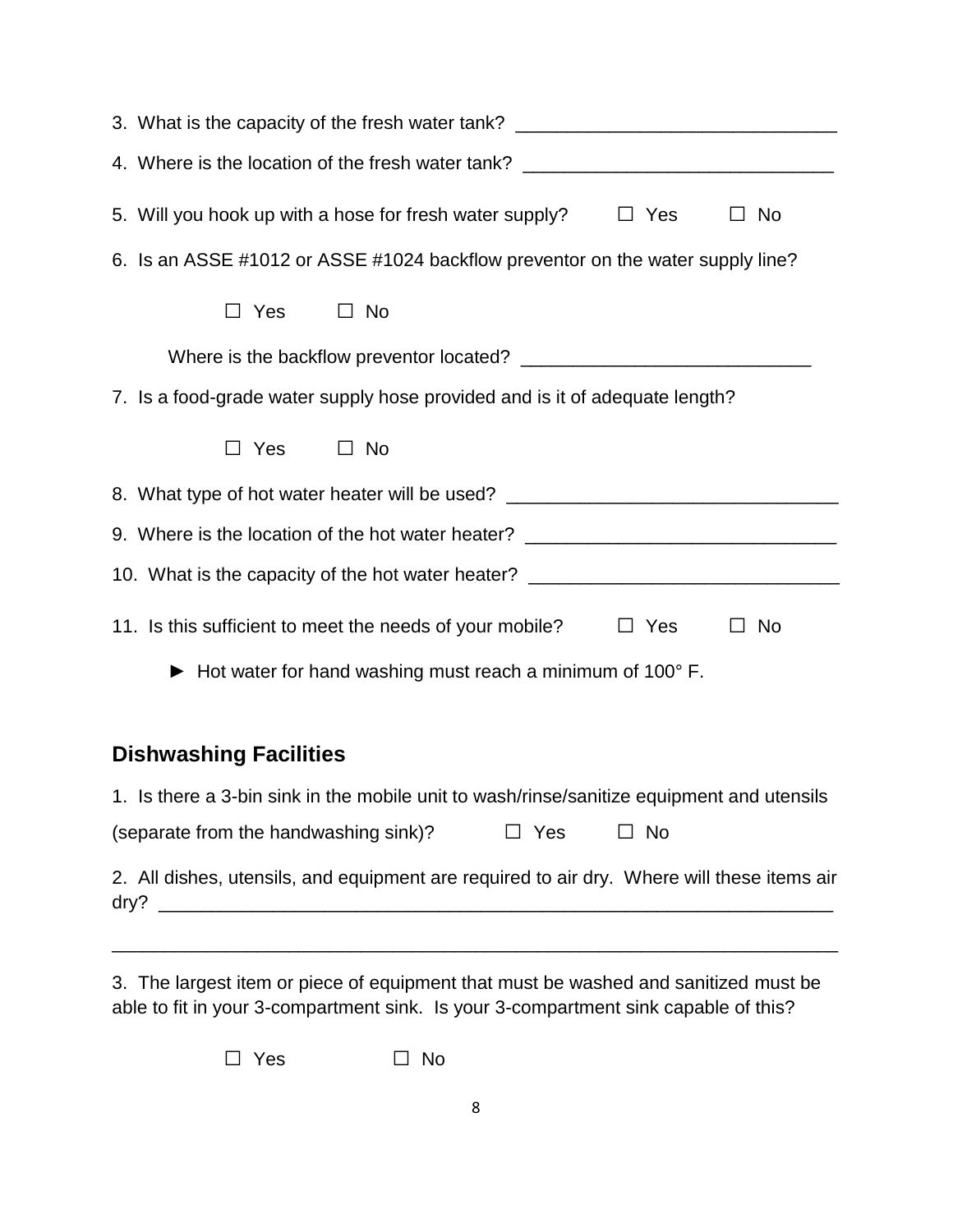| 3. What is the capacity of the fresh water tank? _______________________________                   |
|----------------------------------------------------------------------------------------------------|
| 4. Where is the location of the fresh water tank? ______________________________                   |
| 5. Will you hook up with a hose for fresh water supply? $\Box$ Yes<br>$\Box$ No                    |
| 6. Is an ASSE #1012 or ASSE #1024 backflow preventor on the water supply line?                     |
| $\Box$ Yes<br>$\Box$ No                                                                            |
|                                                                                                    |
| 7. Is a food-grade water supply hose provided and is it of adequate length?                        |
| $\Box$ Yes $\Box$ No                                                                               |
| 8. What type of hot water heater will be used? _________________________________                   |
| 9. Where is the location of the hot water heater? ______________________________                   |
| 10. What is the capacity of the hot water heater? ______________________________                   |
| 11. Is this sufficient to meet the needs of your mobile? $\Box$ Yes<br>$\Box$ No                   |
| Hot water for hand washing must reach a minimum of 100° F.                                         |
|                                                                                                    |
| <b>Dishwashing Facilities</b>                                                                      |
| 1. Is there a 3-bin sink in the mobile unit to wash/rinse/sanitize equipment and utensils          |
| (separate from the handwashing sink)?<br>$\Box$ Yes<br>No                                          |
| 2. All dishes, utensils, and equipment are required to air dry. Where will these items air<br>dry? |

3. The largest item or piece of equipment that must be washed and sanitized must be able to fit in your 3-compartment sink. Is your 3-compartment sink capable of this?

\_\_\_\_\_\_\_\_\_\_\_\_\_\_\_\_\_\_\_\_\_\_\_\_\_\_\_\_\_\_\_\_\_\_\_\_\_\_\_\_\_\_\_\_\_\_\_\_\_\_\_\_\_\_\_\_\_\_\_\_\_\_\_\_\_\_\_\_\_\_

□ Yes □ No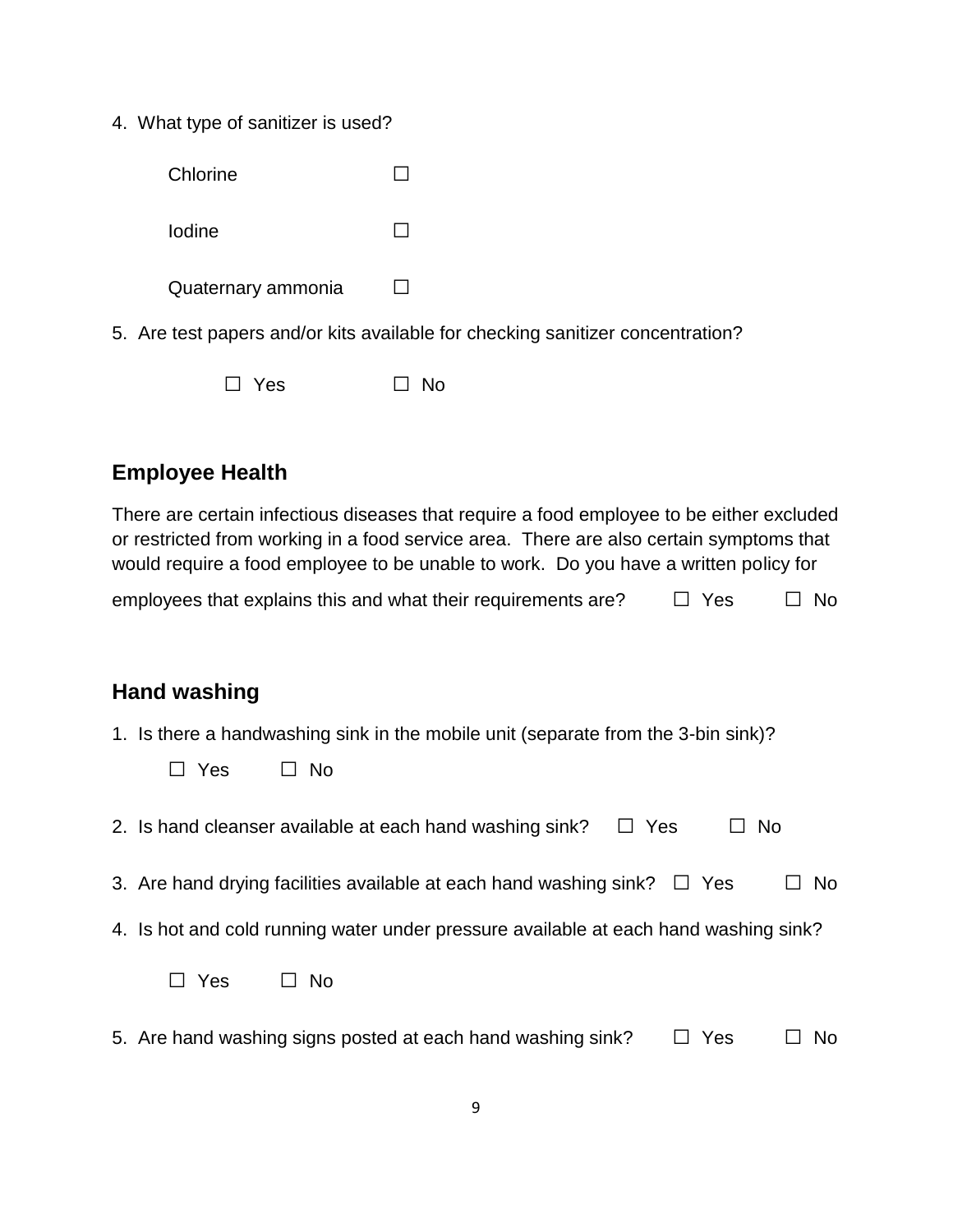4. What type of sanitizer is used?

| Chlorine           |  |
|--------------------|--|
| Iodine             |  |
| Quaternary ammonia |  |

5. Are test papers and/or kits available for checking sanitizer concentration?

| $\Box$ Yes |  | $\Box$ No |
|------------|--|-----------|
|            |  |           |

# **Employee Health**

| There are certain infectious diseases that require a food employee to be either excluded<br>or restricted from working in a food service area. There are also certain symptoms that<br>would require a food employee to be unable to work. Do you have a written policy for |           |
|-----------------------------------------------------------------------------------------------------------------------------------------------------------------------------------------------------------------------------------------------------------------------------|-----------|
| employees that explains this and what their requirements are?<br>$\Box$ Yes                                                                                                                                                                                                 | No        |
|                                                                                                                                                                                                                                                                             |           |
| <b>Hand washing</b>                                                                                                                                                                                                                                                         |           |
| 1. Is there a handwashing sink in the mobile unit (separate from the 3-bin sink)?<br>$\Box$ Yes<br>$\Box$ No                                                                                                                                                                |           |
| 2. Is hand cleanser available at each hand washing sink?<br>Yes<br><b>No</b><br>$\perp$                                                                                                                                                                                     |           |
| 3. Are hand drying facilities available at each hand washing sink?<br>$\Box$ Yes                                                                                                                                                                                            | No        |
| 4. Is hot and cold running water under pressure available at each hand washing sink?                                                                                                                                                                                        |           |
| $\Box$ Yes<br>No                                                                                                                                                                                                                                                            |           |
| 5. Are hand washing signs posted at each hand washing sink?<br>□ Yes                                                                                                                                                                                                        | <b>No</b> |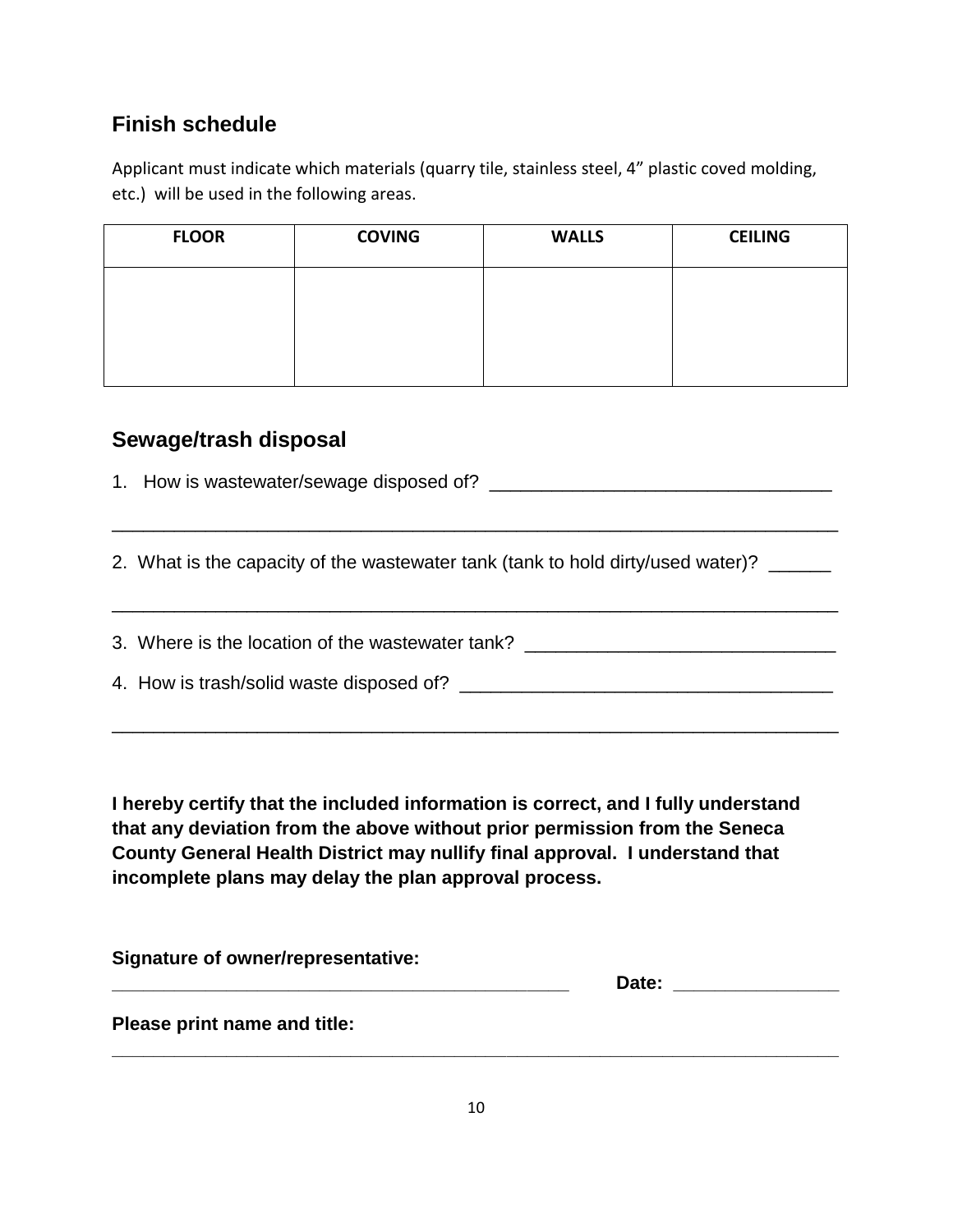## **Finish schedule**

Applicant must indicate which materials (quarry tile, stainless steel, 4" plastic coved molding, etc.) will be used in the following areas.

| <b>FLOOR</b> | <b>COVING</b> | <b>WALLS</b> | <b>CEILING</b> |
|--------------|---------------|--------------|----------------|
|              |               |              |                |
|              |               |              |                |
|              |               |              |                |

## **Sewage/trash disposal**

1. How is wastewater/sewage disposed of? \_\_\_\_\_\_\_\_\_\_\_\_\_\_\_\_\_\_\_\_\_\_\_\_\_\_\_\_\_\_\_\_\_

2. What is the capacity of the wastewater tank (tank to hold dirty/used water)? \_\_\_\_\_\_

\_\_\_\_\_\_\_\_\_\_\_\_\_\_\_\_\_\_\_\_\_\_\_\_\_\_\_\_\_\_\_\_\_\_\_\_\_\_\_\_\_\_\_\_\_\_\_\_\_\_\_\_\_\_\_\_\_\_\_\_\_\_\_\_\_\_\_\_\_\_

3. Where is the location of the wastewater tank? \_\_\_\_\_\_\_\_\_\_\_\_\_\_\_\_\_\_\_\_\_\_\_\_\_\_\_\_\_\_\_

\_\_\_\_\_\_\_\_\_\_\_\_\_\_\_\_\_\_\_\_\_\_\_\_\_\_\_\_\_\_\_\_\_\_\_\_\_\_\_\_\_\_\_\_\_\_\_\_\_\_\_\_\_\_\_\_\_\_\_\_\_\_\_\_\_\_\_\_\_\_

4. How is trash/solid waste disposed of? \_\_\_\_\_\_\_\_\_\_\_\_\_\_\_\_\_\_\_\_\_\_\_\_\_\_\_\_\_\_\_\_\_\_\_\_

\_\_\_\_\_\_\_\_\_\_\_\_\_\_\_\_\_\_\_\_\_\_\_\_\_\_\_\_\_\_\_\_\_\_\_\_\_\_\_\_\_\_\_\_\_\_\_\_\_\_\_\_\_\_\_\_\_\_\_\_\_\_\_\_\_\_\_\_\_\_

**I hereby certify that the included information is correct, and I fully understand that any deviation from the above without prior permission from the Seneca County General Health District may nullify final approval. I understand that incomplete plans may delay the plan approval process.**

| Signature of owner/representative: |       |  |
|------------------------------------|-------|--|
|                                    | Date: |  |
| Please print name and title:       |       |  |
|                                    |       |  |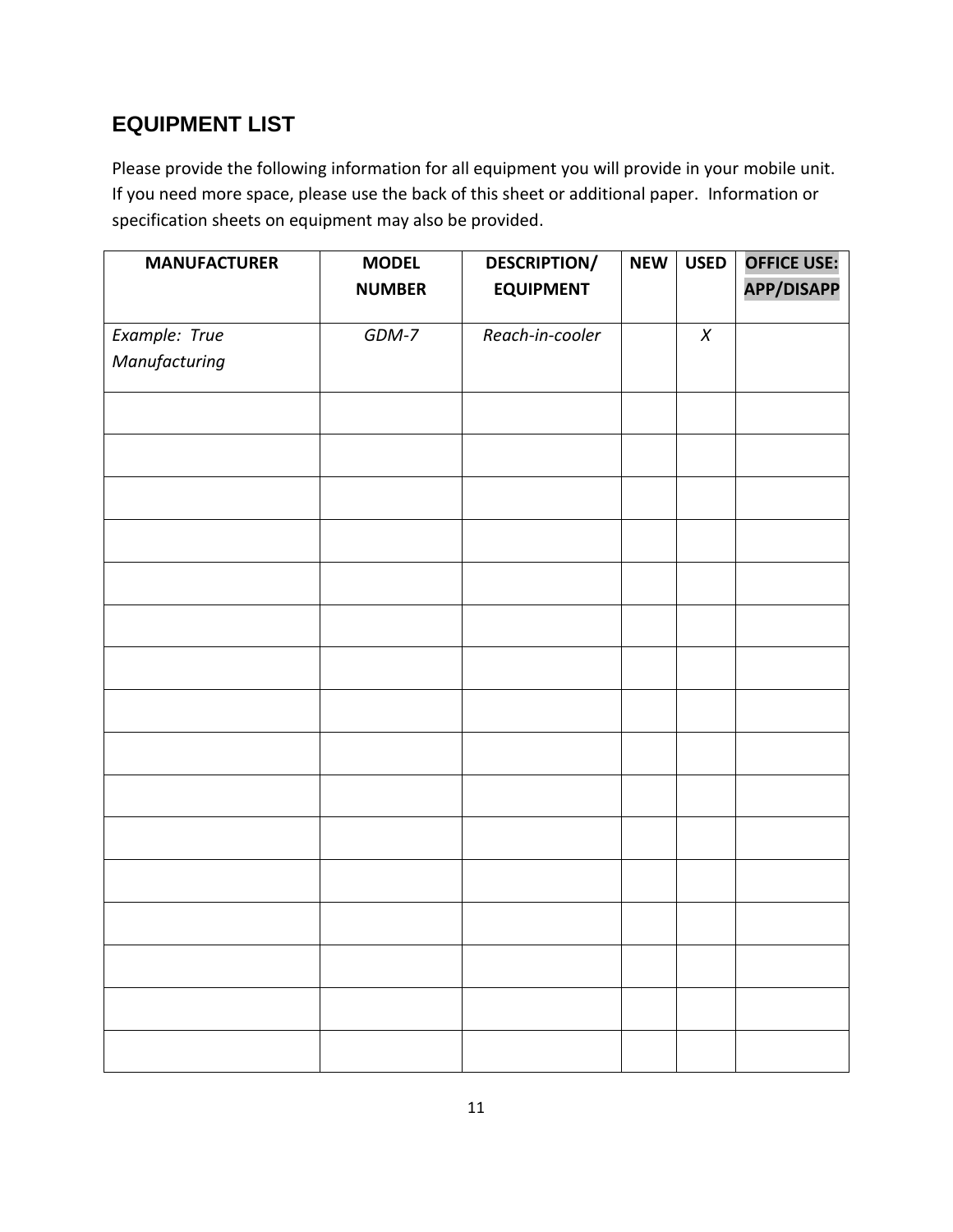# **EQUIPMENT LIST**

Please provide the following information for all equipment you will provide in your mobile unit. If you need more space, please use the back of this sheet or additional paper. Information or specification sheets on equipment may also be provided.

| <b>MANUFACTURER</b>            | <b>MODEL</b>  | <b>DESCRIPTION/</b> | <b>NEW</b> | <b>USED</b> | <b>OFFICE USE:</b> |
|--------------------------------|---------------|---------------------|------------|-------------|--------------------|
|                                | <b>NUMBER</b> | <b>EQUIPMENT</b>    |            |             | <b>APP/DISAPP</b>  |
|                                | GDM-7         | Reach-in-cooler     |            | $\pmb{X}$   |                    |
| Example: True<br>Manufacturing |               |                     |            |             |                    |
|                                |               |                     |            |             |                    |
|                                |               |                     |            |             |                    |
|                                |               |                     |            |             |                    |
|                                |               |                     |            |             |                    |
|                                |               |                     |            |             |                    |
|                                |               |                     |            |             |                    |
|                                |               |                     |            |             |                    |
|                                |               |                     |            |             |                    |
|                                |               |                     |            |             |                    |
|                                |               |                     |            |             |                    |
|                                |               |                     |            |             |                    |
|                                |               |                     |            |             |                    |
|                                |               |                     |            |             |                    |
|                                |               |                     |            |             |                    |
|                                |               |                     |            |             |                    |
|                                |               |                     |            |             |                    |
|                                |               |                     |            |             |                    |